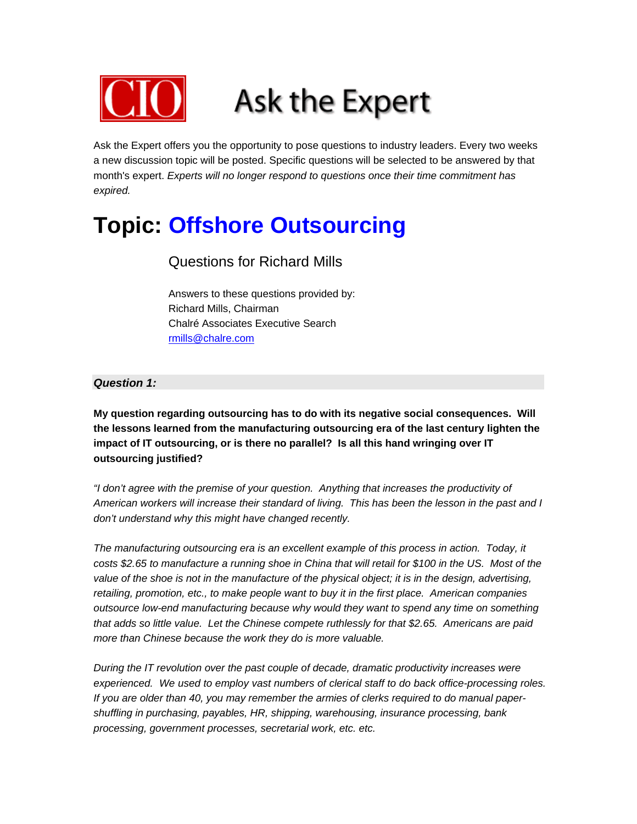

Ask the Expert offers you the opportunity to pose questions to industry leaders. Every two weeks a new discussion topic will be posted. Specific questions will be selected to be answered by that month's expert. *Experts will no longer respond to questions once their time commitment has expired.*

### **Topic: Offshore Outsourcing**

### Questions for Richard Mills

Answers to these questions provided by: Richard Mills, Chairman Chalré Associates Executive Search rmills@chalre.com

#### *Question 1:*

**My question regarding outsourcing has to do with its negative social consequences. Will the lessons learned from the manufacturing outsourcing era of the last century lighten the impact of IT outsourcing, or is there no parallel? Is all this hand wringing over IT outsourcing justified?** 

*"I don't agree with the premise of your question. Anything that increases the productivity of American workers will increase their standard of living. This has been the lesson in the past and I don't understand why this might have changed recently.* 

*The manufacturing outsourcing era is an excellent example of this process in action. Today, it costs \$2.65 to manufacture a running shoe in China that will retail for \$100 in the US. Most of the*  value of the shoe is not in the manufacture of the physical object; it is in the design, advertising, *retailing, promotion, etc., to make people want to buy it in the first place. American companies outsource low-end manufacturing because why would they want to spend any time on something that adds so little value. Let the Chinese compete ruthlessly for that \$2.65. Americans are paid more than Chinese because the work they do is more valuable.* 

*During the IT revolution over the past couple of decade, dramatic productivity increases were experienced. We used to employ vast numbers of clerical staff to do back office-processing roles. If you are older than 40, you may remember the armies of clerks required to do manual papershuffling in purchasing, payables, HR, shipping, warehousing, insurance processing, bank processing, government processes, secretarial work, etc. etc.*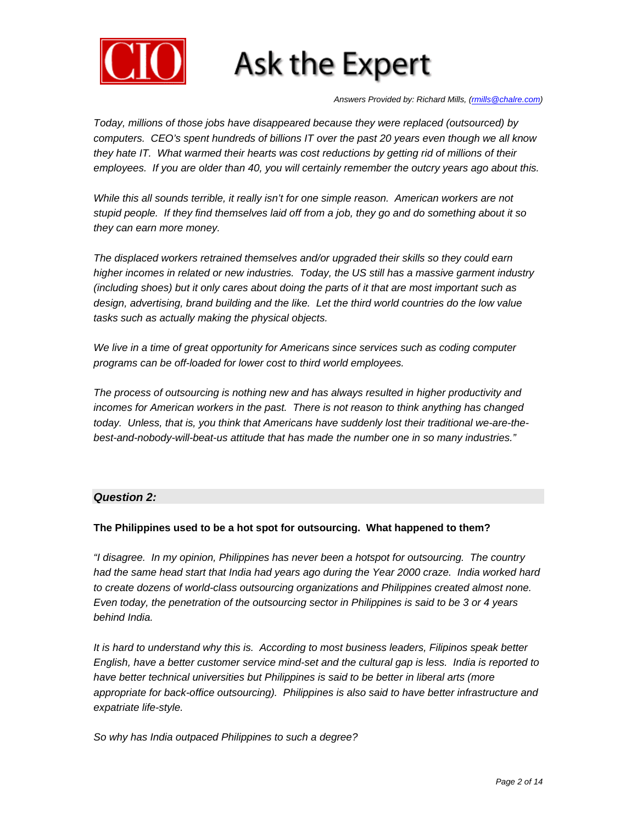

*Answers Provided by: Richard Mills, (rmills@chalre.com)* 

*Today, millions of those jobs have disappeared because they were replaced (outsourced) by computers. CEO's spent hundreds of billions IT over the past 20 years even though we all know they hate IT. What warmed their hearts was cost reductions by getting rid of millions of their employees. If you are older than 40, you will certainly remember the outcry years ago about this.* 

*While this all sounds terrible, it really isn't for one simple reason. American workers are not stupid people. If they find themselves laid off from a job, they go and do something about it so they can earn more money.* 

*The displaced workers retrained themselves and/or upgraded their skills so they could earn higher incomes in related or new industries. Today, the US still has a massive garment industry (including shoes) but it only cares about doing the parts of it that are most important such as design, advertising, brand building and the like. Let the third world countries do the low value tasks such as actually making the physical objects.* 

*We live in a time of great opportunity for Americans since services such as coding computer programs can be off-loaded for lower cost to third world employees.* 

*The process of outsourcing is nothing new and has always resulted in higher productivity and incomes for American workers in the past. There is not reason to think anything has changed today. Unless, that is, you think that Americans have suddenly lost their traditional we-are-thebest-and-nobody-will-beat-us attitude that has made the number one in so many industries."* 

#### *Question 2:*

#### **The Philippines used to be a hot spot for outsourcing. What happened to them?**

*"I disagree. In my opinion, Philippines has never been a hotspot for outsourcing. The country had the same head start that India had years ago during the Year 2000 craze. India worked hard to create dozens of world-class outsourcing organizations and Philippines created almost none. Even today, the penetration of the outsourcing sector in Philippines is said to be 3 or 4 years behind India.* 

*It is hard to understand why this is. According to most business leaders, Filipinos speak better English, have a better customer service mind-set and the cultural gap is less. India is reported to have better technical universities but Philippines is said to be better in liberal arts (more appropriate for back-office outsourcing). Philippines is also said to have better infrastructure and expatriate life-style.* 

*So why has India outpaced Philippines to such a degree?*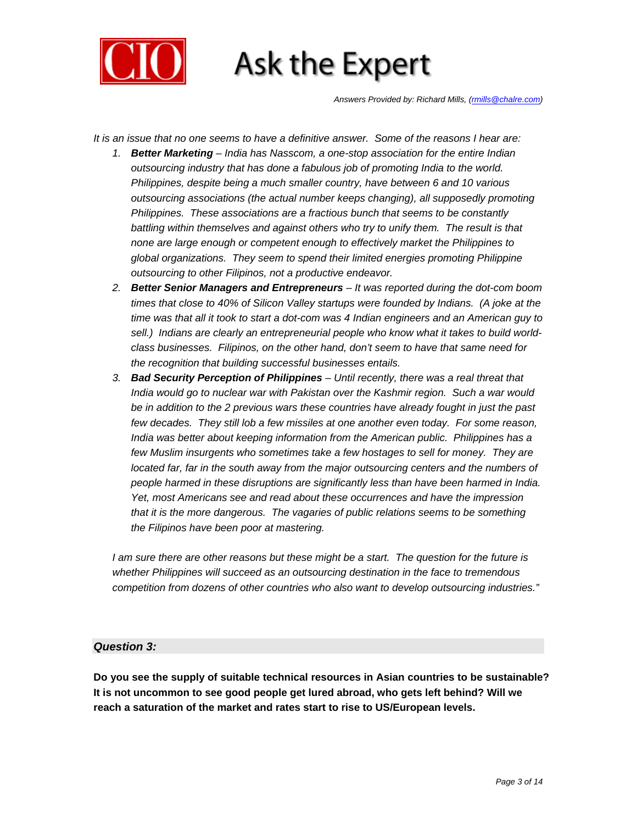

*Answers Provided by: Richard Mills, (rmills@chalre.com)* 

*It is an issue that no one seems to have a definitive answer. Some of the reasons I hear are:* 

- *1. Better Marketing India has Nasscom, a one-stop association for the entire Indian outsourcing industry that has done a fabulous job of promoting India to the world. Philippines, despite being a much smaller country, have between 6 and 10 various outsourcing associations (the actual number keeps changing), all supposedly promoting Philippines. These associations are a fractious bunch that seems to be constantly*  battling within themselves and against others who try to unify them. The result is that *none are large enough or competent enough to effectively market the Philippines to global organizations. They seem to spend their limited energies promoting Philippine outsourcing to other Filipinos, not a productive endeavor.*
- *2. Better Senior Managers and Entrepreneurs It was reported during the dot-com boom times that close to 40% of Silicon Valley startups were founded by Indians. (A joke at the time was that all it took to start a dot-com was 4 Indian engineers and an American guy to sell.) Indians are clearly an entrepreneurial people who know what it takes to build worldclass businesses. Filipinos, on the other hand, don't seem to have that same need for the recognition that building successful businesses entails.*
- *3. Bad Security Perception of Philippines Until recently, there was a real threat that India would go to nuclear war with Pakistan over the Kashmir region. Such a war would be in addition to the 2 previous wars these countries have already fought in just the past*  few decades. They still lob a few missiles at one another even today. For some reason, *India was better about keeping information from the American public. Philippines has a few Muslim insurgents who sometimes take a few hostages to sell for money. They are located far, far in the south away from the major outsourcing centers and the numbers of people harmed in these disruptions are significantly less than have been harmed in India. Yet, most Americans see and read about these occurrences and have the impression that it is the more dangerous. The vagaries of public relations seems to be something the Filipinos have been poor at mastering.*

*I am sure there are other reasons but these might be a start. The question for the future is whether Philippines will succeed as an outsourcing destination in the face to tremendous competition from dozens of other countries who also want to develop outsourcing industries."* 

#### *Question 3:*

**Do you see the supply of suitable technical resources in Asian countries to be sustainable? It is not uncommon to see good people get lured abroad, who gets left behind? Will we reach a saturation of the market and rates start to rise to US/European levels.**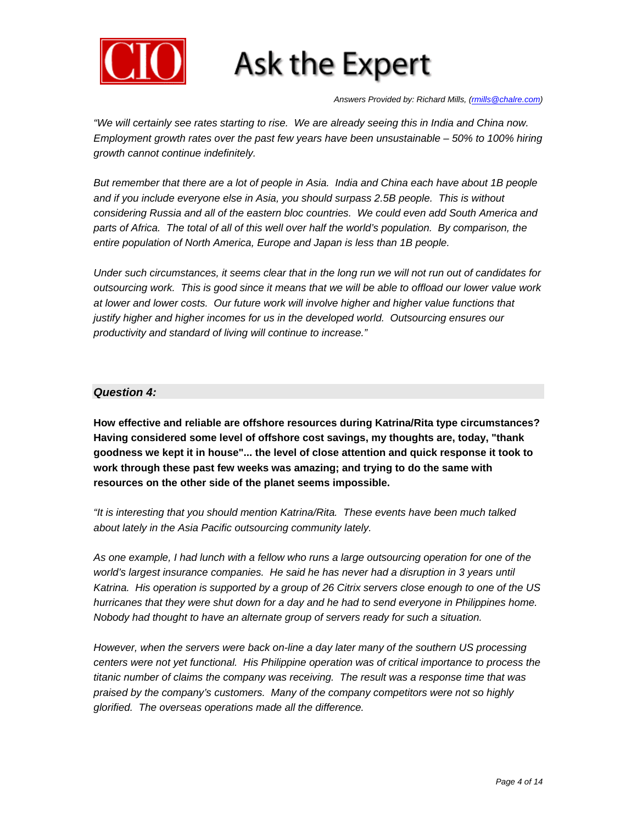

*Answers Provided by: Richard Mills, (rmills@chalre.com)* 

*"We will certainly see rates starting to rise. We are already seeing this in India and China now. Employment growth rates over the past few years have been unsustainable – 50% to 100% hiring growth cannot continue indefinitely.* 

*But remember that there are a lot of people in Asia. India and China each have about 1B people and if you include everyone else in Asia, you should surpass 2.5B people. This is without considering Russia and all of the eastern bloc countries. We could even add South America and*  parts of Africa. The total of all of this well over half the world's population. By comparison, the *entire population of North America, Europe and Japan is less than 1B people.* 

*Under such circumstances, it seems clear that in the long run we will not run out of candidates for outsourcing work. This is good since it means that we will be able to offload our lower value work at lower and lower costs. Our future work will involve higher and higher value functions that justify higher and higher incomes for us in the developed world. Outsourcing ensures our productivity and standard of living will continue to increase."* 

#### *Question 4:*

**How effective and reliable are offshore resources during Katrina/Rita type circumstances? Having considered some level of offshore cost savings, my thoughts are, today, "thank goodness we kept it in house"... the level of close attention and quick response it took to work through these past few weeks was amazing; and trying to do the same with resources on the other side of the planet seems impossible.** 

*"It is interesting that you should mention Katrina/Rita. These events have been much talked about lately in the Asia Pacific outsourcing community lately.* 

*As one example, I had lunch with a fellow who runs a large outsourcing operation for one of the*  world's largest insurance companies. He said he has never had a disruption in 3 years until *Katrina. His operation is supported by a group of 26 Citrix servers close enough to one of the US hurricanes that they were shut down for a day and he had to send everyone in Philippines home. Nobody had thought to have an alternate group of servers ready for such a situation.* 

*However, when the servers were back on-line a day later many of the southern US processing centers were not yet functional. His Philippine operation was of critical importance to process the titanic number of claims the company was receiving. The result was a response time that was praised by the company's customers. Many of the company competitors were not so highly glorified. The overseas operations made all the difference.*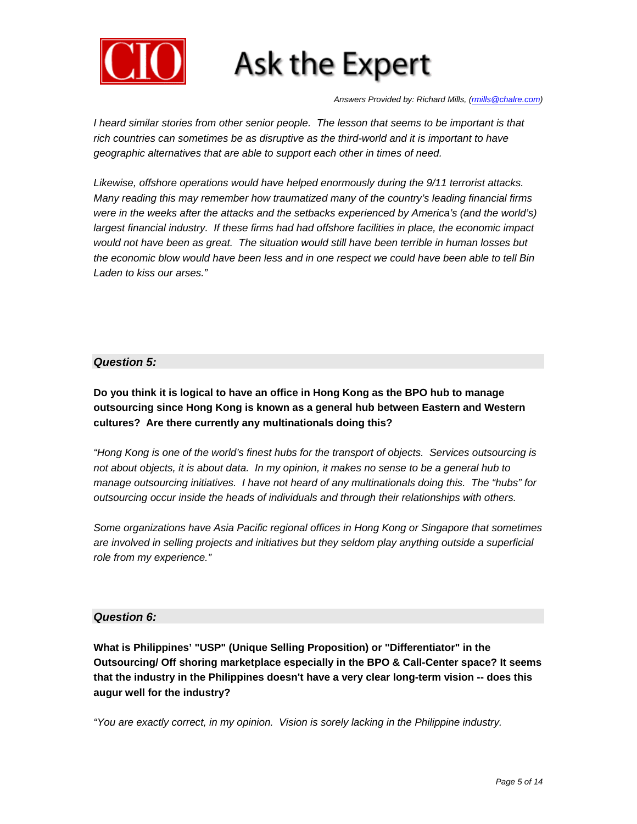

*Answers Provided by: Richard Mills, (rmills@chalre.com)* 

*I* heard similar stories from other senior people. The lesson that seems to be important is that rich countries can sometimes be as disruptive as the third-world and it is important to have *geographic alternatives that are able to support each other in times of need.* 

*Likewise, offshore operations would have helped enormously during the 9/11 terrorist attacks. Many reading this may remember how traumatized many of the country's leading financial firms were in the weeks after the attacks and the setbacks experienced by America's (and the world's) largest financial industry. If these firms had had offshore facilities in place, the economic impact would not have been as great. The situation would still have been terrible in human losses but the economic blow would have been less and in one respect we could have been able to tell Bin Laden to kiss our arses."*

#### *Question 5:*

**Do you think it is logical to have an office in Hong Kong as the BPO hub to manage outsourcing since Hong Kong is known as a general hub between Eastern and Western cultures? Are there currently any multinationals doing this?** 

*"Hong Kong is one of the world's finest hubs for the transport of objects. Services outsourcing is not about objects, it is about data. In my opinion, it makes no sense to be a general hub to manage outsourcing initiatives. I have not heard of any multinationals doing this. The "hubs" for outsourcing occur inside the heads of individuals and through their relationships with others.* 

*Some organizations have Asia Pacific regional offices in Hong Kong or Singapore that sometimes are involved in selling projects and initiatives but they seldom play anything outside a superficial role from my experience."* 

#### *Question 6:*

**What is Philippines' "USP" (Unique Selling Proposition) or "Differentiator" in the Outsourcing/ Off shoring marketplace especially in the BPO & Call-Center space? It seems that the industry in the Philippines doesn't have a very clear long-term vision -- does this augur well for the industry?** 

*"You are exactly correct, in my opinion. Vision is sorely lacking in the Philippine industry.*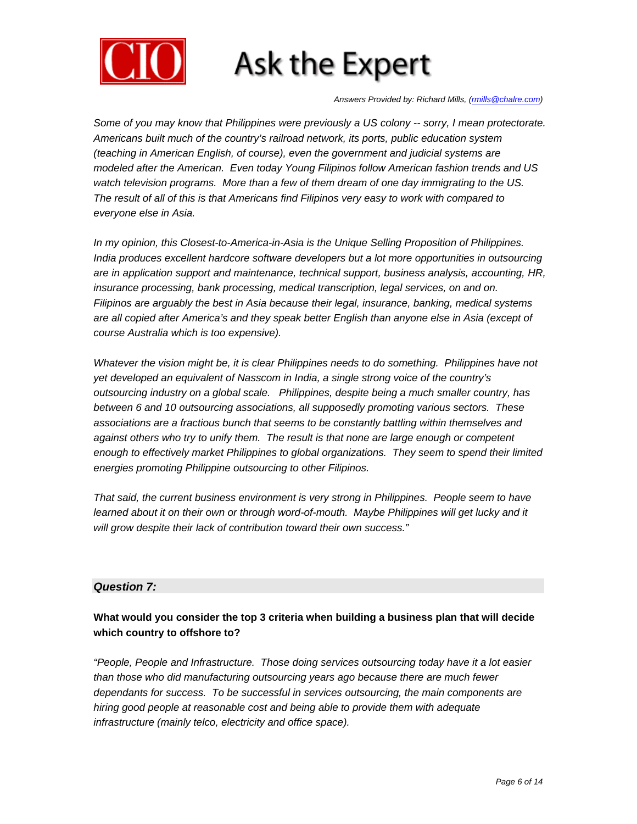

*Answers Provided by: Richard Mills, (rmills@chalre.com)* 

*Some of you may know that Philippines were previously a US colony -- sorry, I mean protectorate. Americans built much of the country's railroad network, its ports, public education system (teaching in American English, of course), even the government and judicial systems are modeled after the American. Even today Young Filipinos follow American fashion trends and US watch television programs. More than a few of them dream of one day immigrating to the US. The result of all of this is that Americans find Filipinos very easy to work with compared to everyone else in Asia.* 

*In my opinion, this Closest-to-America-in-Asia is the Unique Selling Proposition of Philippines. India produces excellent hardcore software developers but a lot more opportunities in outsourcing are in application support and maintenance, technical support, business analysis, accounting, HR, insurance processing, bank processing, medical transcription, legal services, on and on. Filipinos are arguably the best in Asia because their legal, insurance, banking, medical systems are all copied after America's and they speak better English than anyone else in Asia (except of course Australia which is too expensive).* 

*Whatever the vision might be, it is clear Philippines needs to do something. Philippines have not yet developed an equivalent of Nasscom in India, a single strong voice of the country's outsourcing industry on a global scale. Philippines, despite being a much smaller country, has between 6 and 10 outsourcing associations, all supposedly promoting various sectors. These associations are a fractious bunch that seems to be constantly battling within themselves and against others who try to unify them. The result is that none are large enough or competent enough to effectively market Philippines to global organizations. They seem to spend their limited energies promoting Philippine outsourcing to other Filipinos.* 

*That said, the current business environment is very strong in Philippines. People seem to have*  learned about it on their own or through word-of-mouth. Maybe Philippines will get lucky and it *will grow despite their lack of contribution toward their own success."* 

#### *Question 7:*

#### **What would you consider the top 3 criteria when building a business plan that will decide which country to offshore to?**

*"People, People and Infrastructure. Those doing services outsourcing today have it a lot easier than those who did manufacturing outsourcing years ago because there are much fewer dependants for success. To be successful in services outsourcing, the main components are hiring good people at reasonable cost and being able to provide them with adequate infrastructure (mainly telco, electricity and office space).*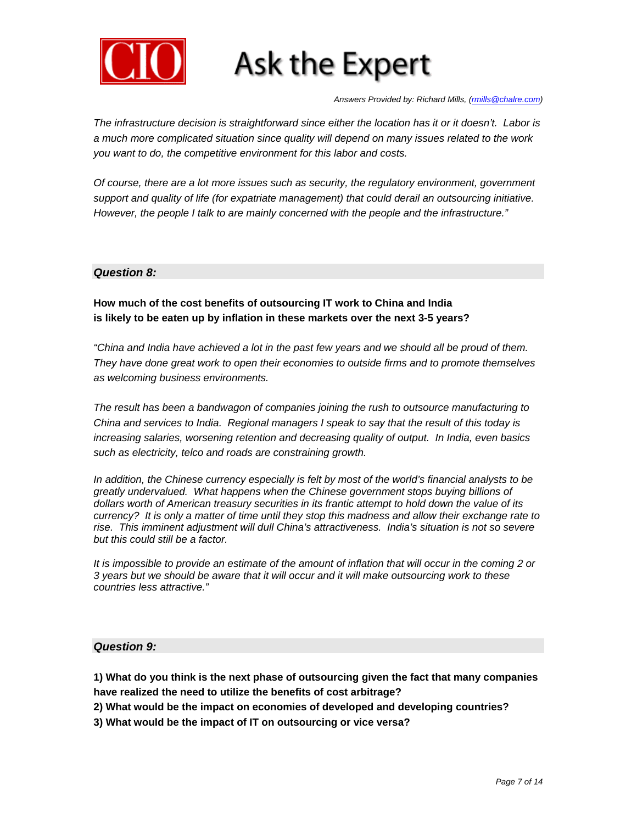

*Answers Provided by: Richard Mills, (rmills@chalre.com)* 

*The infrastructure decision is straightforward since either the location has it or it doesn't. Labor is a much more complicated situation since quality will depend on many issues related to the work you want to do, the competitive environment for this labor and costs.* 

*Of course, there are a lot more issues such as security, the regulatory environment, government support and quality of life (for expatriate management) that could derail an outsourcing initiative. However, the people I talk to are mainly concerned with the people and the infrastructure."* 

#### *Question 8:*

**How much of the cost benefits of outsourcing IT work to China and India is likely to be eaten up by inflation in these markets over the next 3-5 years?** 

*"China and India have achieved a lot in the past few years and we should all be proud of them. They have done great work to open their economies to outside firms and to promote themselves as welcoming business environments.* 

*The result has been a bandwagon of companies joining the rush to outsource manufacturing to China and services to India. Regional managers I speak to say that the result of this today is increasing salaries, worsening retention and decreasing quality of output. In India, even basics such as electricity, telco and roads are constraining growth.* 

*In addition, the Chinese currency especially is felt by most of the world's financial analysts to be greatly undervalued. What happens when the Chinese government stops buying billions of dollars worth of American treasury securities in its frantic attempt to hold down the value of its currency? It is only a matter of time until they stop this madness and allow their exchange rate to rise. This imminent adjustment will dull China's attractiveness. India's situation is not so severe but this could still be a factor.* 

*It is impossible to provide an estimate of the amount of inflation that will occur in the coming 2 or 3 years but we should be aware that it will occur and it will make outsourcing work to these countries less attractive."* 

#### *Question 9:*

**1) What do you think is the next phase of outsourcing given the fact that many companies have realized the need to utilize the benefits of cost arbitrage?** 

**2) What would be the impact on economies of developed and developing countries?** 

**3) What would be the impact of IT on outsourcing or vice versa?**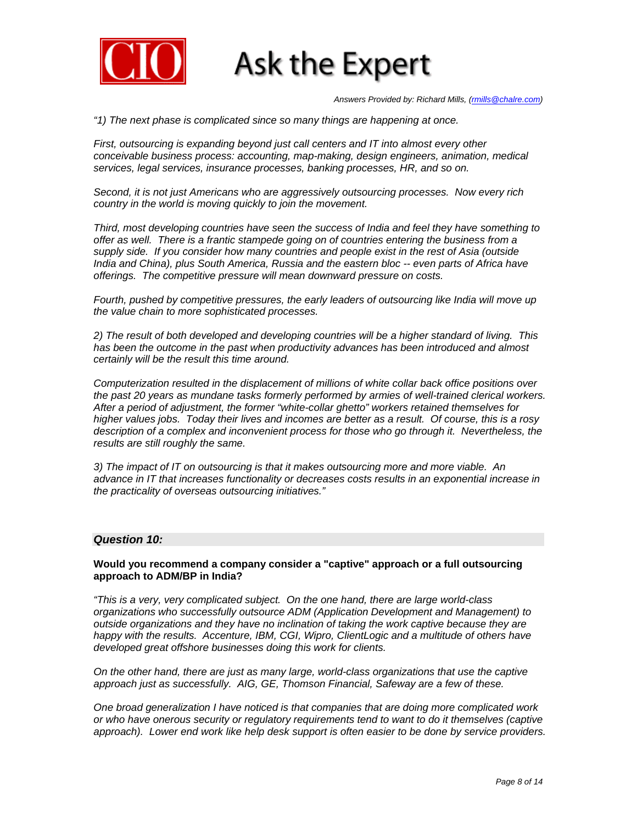

*Answers Provided by: Richard Mills, (rmills@chalre.com)* 

*"1) The next phase is complicated since so many things are happening at once.* 

*First, outsourcing is expanding beyond just call centers and IT into almost every other conceivable business process: accounting, map-making, design engineers, animation, medical services, legal services, insurance processes, banking processes, HR, and so on.* 

*Second, it is not just Americans who are aggressively outsourcing processes. Now every rich country in the world is moving quickly to join the movement.* 

*Third, most developing countries have seen the success of India and feel they have something to offer as well. There is a frantic stampede going on of countries entering the business from a supply side. If you consider how many countries and people exist in the rest of Asia (outside India and China), plus South America, Russia and the eastern bloc -- even parts of Africa have offerings. The competitive pressure will mean downward pressure on costs.* 

*Fourth, pushed by competitive pressures, the early leaders of outsourcing like India will move up the value chain to more sophisticated processes.* 

*2) The result of both developed and developing countries will be a higher standard of living. This has been the outcome in the past when productivity advances has been introduced and almost certainly will be the result this time around.* 

*Computerization resulted in the displacement of millions of white collar back office positions over the past 20 years as mundane tasks formerly performed by armies of well-trained clerical workers. After a period of adjustment, the former "white-collar ghetto" workers retained themselves for higher values jobs. Today their lives and incomes are better as a result. Of course, this is a rosy description of a complex and inconvenient process for those who go through it. Nevertheless, the results are still roughly the same.* 

*3) The impact of IT on outsourcing is that it makes outsourcing more and more viable. An advance in IT that increases functionality or decreases costs results in an exponential increase in the practicality of overseas outsourcing initiatives."* 

#### *Question 10:*

#### **Would you recommend a company consider a "captive" approach or a full outsourcing approach to ADM/BP in India?**

*"This is a very, very complicated subject. On the one hand, there are large world-class organizations who successfully outsource ADM (Application Development and Management) to outside organizations and they have no inclination of taking the work captive because they are*  happy with the results. Accenture, IBM, CGI, Wipro, ClientLogic and a multitude of others have *developed great offshore businesses doing this work for clients.* 

*On the other hand, there are just as many large, world-class organizations that use the captive approach just as successfully. AIG, GE, Thomson Financial, Safeway are a few of these.* 

*One broad generalization I have noticed is that companies that are doing more complicated work or who have onerous security or regulatory requirements tend to want to do it themselves (captive approach). Lower end work like help desk support is often easier to be done by service providers.*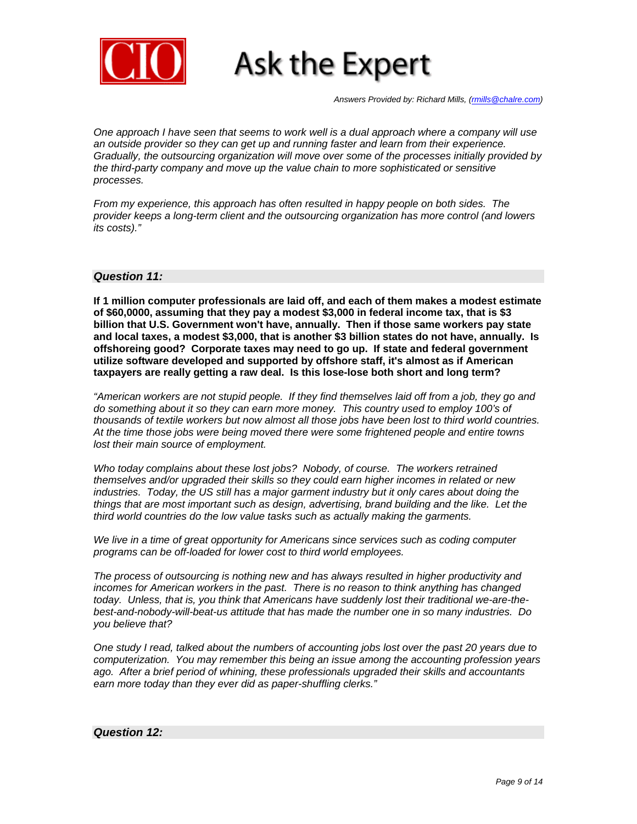

*Answers Provided by: Richard Mills, (rmills@chalre.com)* 

*One approach I have seen that seems to work well is a dual approach where a company will use an outside provider so they can get up and running faster and learn from their experience. Gradually, the outsourcing organization will move over some of the processes initially provided by the third-party company and move up the value chain to more sophisticated or sensitive processes.* 

*From my experience, this approach has often resulted in happy people on both sides. The provider keeps a long-term client and the outsourcing organization has more control (and lowers its costs)."* 

#### *Question 11:*

**If 1 million computer professionals are laid off, and each of them makes a modest estimate of \$60,0000, assuming that they pay a modest \$3,000 in federal income tax, that is \$3 billion that U.S. Government won't have, annually. Then if those same workers pay state and local taxes, a modest \$3,000, that is another \$3 billion states do not have, annually. Is offshoreing good? Corporate taxes may need to go up. If state and federal government utilize software developed and supported by offshore staff, it's almost as if American taxpayers are really getting a raw deal. Is this lose-lose both short and long term?** 

*"American workers are not stupid people. If they find themselves laid off from a job, they go and do something about it so they can earn more money. This country used to employ 100's of thousands of textile workers but now almost all those jobs have been lost to third world countries. At the time those jobs were being moved there were some frightened people and entire towns lost their main source of employment.* 

*Who today complains about these lost jobs? Nobody, of course. The workers retrained themselves and/or upgraded their skills so they could earn higher incomes in related or new industries. Today, the US still has a major garment industry but it only cares about doing the things that are most important such as design, advertising, brand building and the like. Let the third world countries do the low value tasks such as actually making the garments.* 

*We live in a time of great opportunity for Americans since services such as coding computer programs can be off-loaded for lower cost to third world employees.* 

*The process of outsourcing is nothing new and has always resulted in higher productivity and incomes for American workers in the past. There is no reason to think anything has changed today. Unless, that is, you think that Americans have suddenly lost their traditional we-are-thebest-and-nobody-will-beat-us attitude that has made the number one in so many industries. Do you believe that?* 

*One study I read, talked about the numbers of accounting jobs lost over the past 20 years due to computerization. You may remember this being an issue among the accounting profession years ago. After a brief period of whining, these professionals upgraded their skills and accountants earn more today than they ever did as paper-shuffling clerks."* 

#### *Question 12:*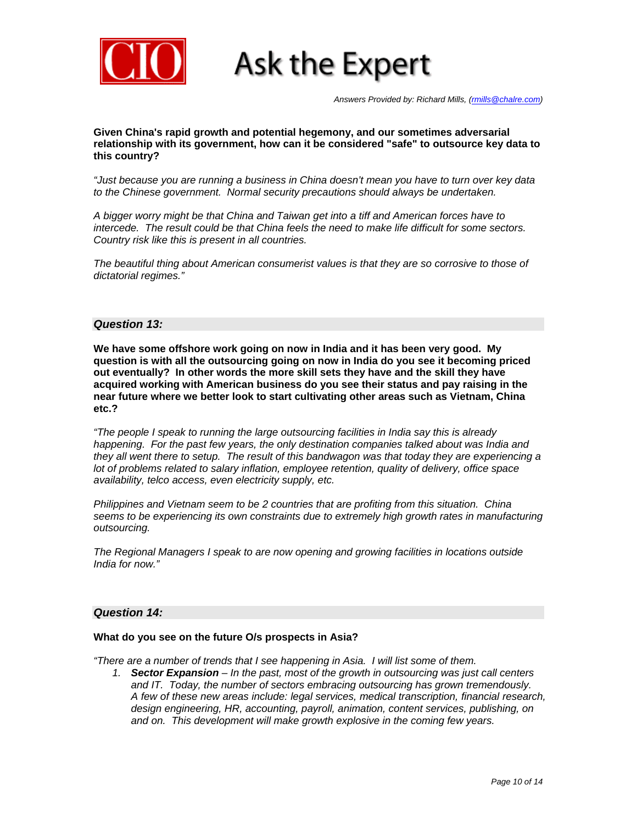

*Answers Provided by: Richard Mills, (rmills@chalre.com)* 

**Given China's rapid growth and potential hegemony, and our sometimes adversarial relationship with its government, how can it be considered "safe" to outsource key data to this country?** 

*"Just because you are running a business in China doesn't mean you have to turn over key data to the Chinese government. Normal security precautions should always be undertaken.* 

*A bigger worry might be that China and Taiwan get into a tiff and American forces have to intercede. The result could be that China feels the need to make life difficult for some sectors. Country risk like this is present in all countries.* 

*The beautiful thing about American consumerist values is that they are so corrosive to those of dictatorial regimes."*

#### *Question 13:*

**We have some offshore work going on now in India and it has been very good. My question is with all the outsourcing going on now in India do you see it becoming priced out eventually? In other words the more skill sets they have and the skill they have acquired working with American business do you see their status and pay raising in the near future where we better look to start cultivating other areas such as Vietnam, China etc.?** 

*"The people I speak to running the large outsourcing facilities in India say this is already happening. For the past few years, the only destination companies talked about was India and they all went there to setup. The result of this bandwagon was that today they are experiencing a lot of problems related to salary inflation, employee retention, quality of delivery, office space availability, telco access, even electricity supply, etc.* 

*Philippines and Vietnam seem to be 2 countries that are profiting from this situation. China seems to be experiencing its own constraints due to extremely high growth rates in manufacturing outsourcing.* 

*The Regional Managers I speak to are now opening and growing facilities in locations outside India for now."* 

#### *Question 14:*

#### **What do you see on the future O/s prospects in Asia?**

*"There are a number of trends that I see happening in Asia. I will list some of them.* 

*1. Sector Expansion – In the past, most of the growth in outsourcing was just call centers and IT. Today, the number of sectors embracing outsourcing has grown tremendously. A few of these new areas include: legal services, medical transcription, financial research, design engineering, HR, accounting, payroll, animation, content services, publishing, on and on. This development will make growth explosive in the coming few years.*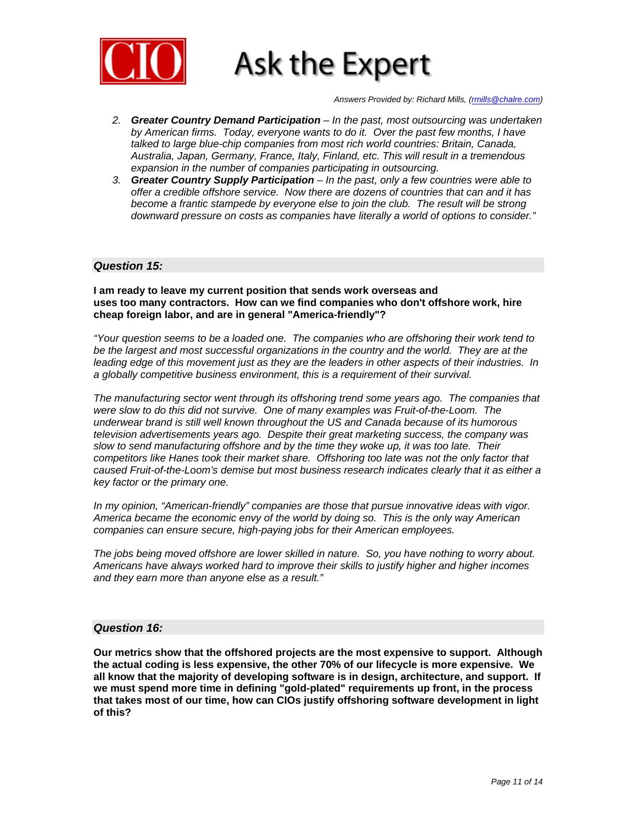

*Answers Provided by: Richard Mills, (rmills@chalre.com)* 

- *2. Greater Country Demand Participation In the past, most outsourcing was undertaken by American firms. Today, everyone wants to do it. Over the past few months, I have talked to large blue-chip companies from most rich world countries: Britain, Canada, Australia, Japan, Germany, France, Italy, Finland, etc. This will result in a tremendous expansion in the number of companies participating in outsourcing.*
- *3. Greater Country Supply Participation In the past, only a few countries were able to offer a credible offshore service. Now there are dozens of countries that can and it has become a frantic stampede by everyone else to join the club. The result will be strong downward pressure on costs as companies have literally a world of options to consider."*

#### *Question 15:*

**I am ready to leave my current position that sends work overseas and uses too many contractors. How can we find companies who don't offshore work, hire cheap foreign labor, and are in general "America-friendly"?** 

*"Your question seems to be a loaded one. The companies who are offshoring their work tend to be the largest and most successful organizations in the country and the world. They are at the leading edge of this movement just as they are the leaders in other aspects of their industries. In a globally competitive business environment, this is a requirement of their survival.* 

*The manufacturing sector went through its offshoring trend some years ago. The companies that were slow to do this did not survive. One of many examples was Fruit-of-the-Loom. The underwear brand is still well known throughout the US and Canada because of its humorous television advertisements years ago. Despite their great marketing success, the company was slow to send manufacturing offshore and by the time they woke up, it was too late. Their competitors like Hanes took their market share. Offshoring too late was not the only factor that caused Fruit-of-the-Loom's demise but most business research indicates clearly that it as either a key factor or the primary one.* 

*In my opinion, "American-friendly" companies are those that pursue innovative ideas with vigor. America became the economic envy of the world by doing so. This is the only way American companies can ensure secure, high-paying jobs for their American employees.* 

*The jobs being moved offshore are lower skilled in nature. So, you have nothing to worry about. Americans have always worked hard to improve their skills to justify higher and higher incomes and they earn more than anyone else as a result."* 

#### *Question 16:*

**Our metrics show that the offshored projects are the most expensive to support. Although the actual coding is less expensive, the other 70% of our lifecycle is more expensive. We all know that the majority of developing software is in design, architecture, and support. If we must spend more time in defining "gold-plated" requirements up front, in the process that takes most of our time, how can CIOs justify offshoring software development in light of this?**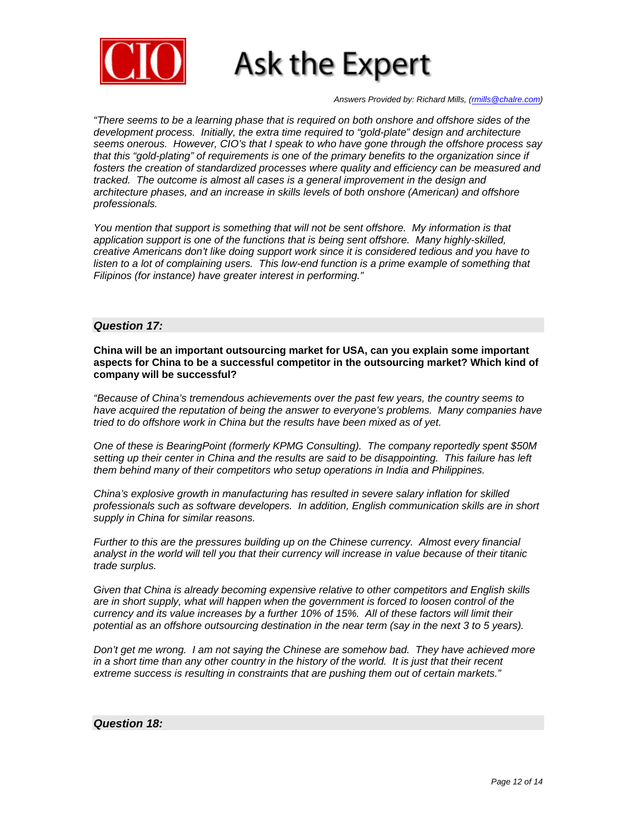

*Answers Provided by: Richard Mills, (rmills@chalre.com)* 

*"There seems to be a learning phase that is required on both onshore and offshore sides of the development process. Initially, the extra time required to "gold-plate" design and architecture seems onerous. However, CIO's that I speak to who have gone through the offshore process say that this "gold-plating" of requirements is one of the primary benefits to the organization since if fosters the creation of standardized processes where quality and efficiency can be measured and tracked. The outcome is almost all cases is a general improvement in the design and architecture phases, and an increase in skills levels of both onshore (American) and offshore professionals.* 

*You mention that support is something that will not be sent offshore. My information is that application support is one of the functions that is being sent offshore. Many highly-skilled, creative Americans don't like doing support work since it is considered tedious and you have to*  listen to a lot of complaining users. This low-end function is a prime example of something that *Filipinos (for instance) have greater interest in performing."*

#### *Question 17:*

**China will be an important outsourcing market for USA, can you explain some important aspects for China to be a successful competitor in the outsourcing market? Which kind of company will be successful?** 

*"Because of China's tremendous achievements over the past few years, the country seems to have acquired the reputation of being the answer to everyone's problems. Many companies have tried to do offshore work in China but the results have been mixed as of yet.* 

*One of these is BearingPoint (formerly KPMG Consulting). The company reportedly spent \$50M setting up their center in China and the results are said to be disappointing. This failure has left them behind many of their competitors who setup operations in India and Philippines.* 

*China's explosive growth in manufacturing has resulted in severe salary inflation for skilled professionals such as software developers. In addition, English communication skills are in short supply in China for similar reasons.* 

*Further to this are the pressures building up on the Chinese currency. Almost every financial analyst in the world will tell you that their currency will increase in value because of their titanic trade surplus.* 

*Given that China is already becoming expensive relative to other competitors and English skills are in short supply, what will happen when the government is forced to loosen control of the currency and its value increases by a further 10% of 15%. All of these factors will limit their potential as an offshore outsourcing destination in the near term (say in the next 3 to 5 years).* 

*Don't get me wrong. I am not saying the Chinese are somehow bad. They have achieved more in a short time than any other country in the history of the world. It is just that their recent extreme success is resulting in constraints that are pushing them out of certain markets."* 

#### *Question 18:*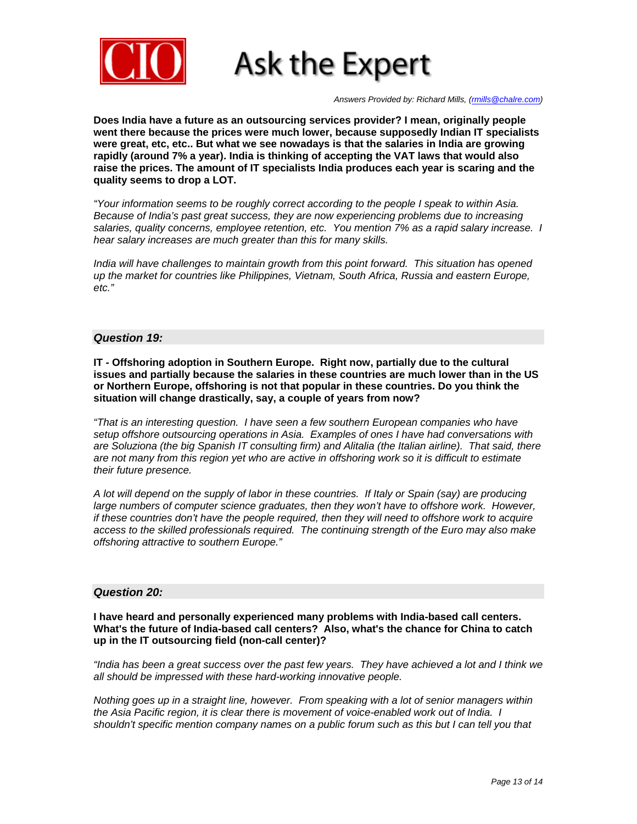

*Answers Provided by: Richard Mills, (rmills@chalre.com)* 

**Does India have a future as an outsourcing services provider? I mean, originally people went there because the prices were much lower, because supposedly Indian IT specialists were great, etc, etc.. But what we see nowadays is that the salaries in India are growing rapidly (around 7% a year). India is thinking of accepting the VAT laws that would also raise the prices. The amount of IT specialists India produces each year is scaring and the quality seems to drop a LOT.** 

*"Your information seems to be roughly correct according to the people I speak to within Asia. Because of India's past great success, they are now experiencing problems due to increasing salaries, quality concerns, employee retention, etc. You mention 7% as a rapid salary increase. I hear salary increases are much greater than this for many skills.* 

*India will have challenges to maintain growth from this point forward. This situation has opened up the market for countries like Philippines, Vietnam, South Africa, Russia and eastern Europe, etc."*

#### *Question 19:*

**IT - Offshoring adoption in Southern Europe. Right now, partially due to the cultural issues and partially because the salaries in these countries are much lower than in the US or Northern Europe, offshoring is not that popular in these countries. Do you think the situation will change drastically, say, a couple of years from now?** 

*"That is an interesting question. I have seen a few southern European companies who have setup offshore outsourcing operations in Asia. Examples of ones I have had conversations with are Soluziona (the big Spanish IT consulting firm) and Alitalia (the Italian airline). That said, there are not many from this region yet who are active in offshoring work so it is difficult to estimate their future presence.* 

*A lot will depend on the supply of labor in these countries. If Italy or Spain (say) are producing large numbers of computer science graduates, then they won't have to offshore work. However, if these countries don't have the people required, then they will need to offshore work to acquire access to the skilled professionals required. The continuing strength of the Euro may also make offshoring attractive to southern Europe."*

#### *Question 20:*

**I have heard and personally experienced many problems with India-based call centers. What's the future of India-based call centers? Also, what's the chance for China to catch up in the IT outsourcing field (non-call center)?** 

*"India has been a great success over the past few years. They have achieved a lot and I think we all should be impressed with these hard-working innovative people.* 

*Nothing goes up in a straight line, however. From speaking with a lot of senior managers within the Asia Pacific region, it is clear there is movement of voice-enabled work out of India. I shouldn't specific mention company names on a public forum such as this but I can tell you that*